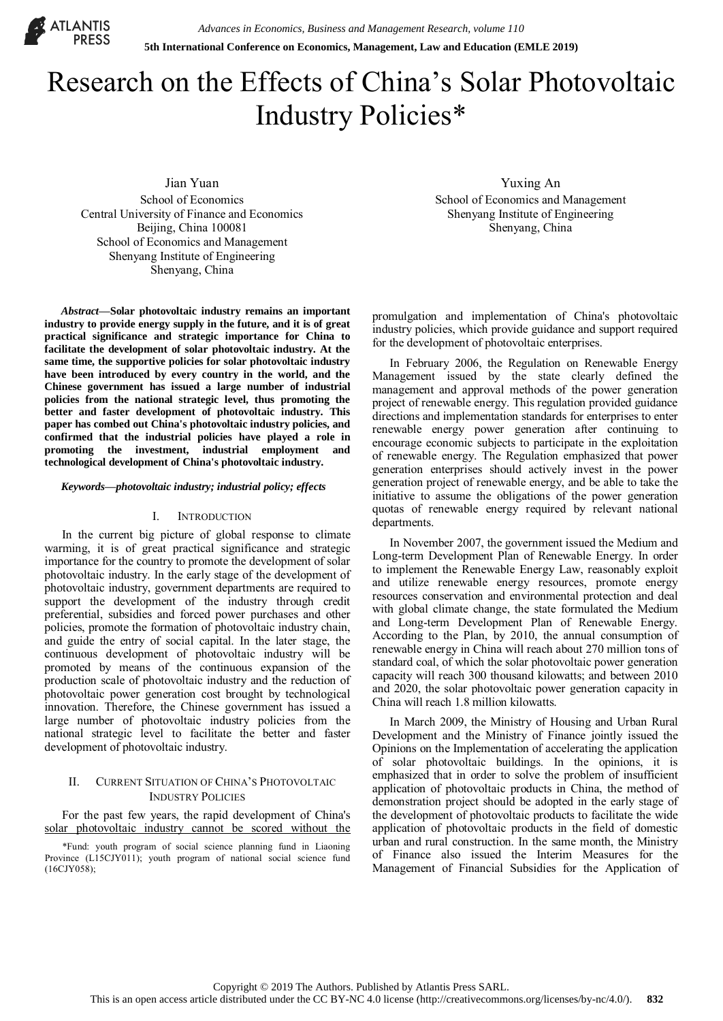

# Research on the Effects of China's Solar Photovoltaic Industry Policies\*

Jian Yuan School of Economics Central University of Finance and Economics Beijing, China 100081 School of Economics and Management Shenyang Institute of Engineering Shenyang, China

*Abstract***—Solar photovoltaic industry remains an important industry to provide energy supply in the future, and it is of great practical significance and strategic importance for China to facilitate the development of solar photovoltaic industry. At the same time, the supportive policies for solar photovoltaic industry have been introduced by every country in the world, and the Chinese government has issued a large number of industrial policies from the national strategic level, thus promoting the better and faster development of photovoltaic industry. This paper has combed out China's photovoltaic industry policies, and confirmed that the industrial policies have played a role in promoting the investment, industrial employment and technological development of China's photovoltaic industry.** 

#### *Keywords—photovoltaic industry; industrial policy; effects*

#### I. INTRODUCTION

In the current big picture of global response to climate warming, it is of great practical significance and strategic importance for the country to promote the development of solar photovoltaic industry. In the early stage of the development of photovoltaic industry, government departments are required to support the development of the industry through credit preferential, subsidies and forced power purchases and other policies, promote the formation of photovoltaic industry chain, and guide the entry of social capital. In the later stage, the continuous development of photovoltaic industry will be promoted by means of the continuous expansion of the production scale of photovoltaic industry and the reduction of photovoltaic power generation cost brought by technological innovation. Therefore, the Chinese government has issued a large number of photovoltaic industry policies from the national strategic level to facilitate the better and faster development of photovoltaic industry.

## II. CURRENT SITUATION OF CHINA'S PHOTOVOLTAIC INDUSTRY POLICIES

For the past few years, the rapid development of China's solar photovoltaic industry cannot be scored without the

\*Fund: youth program of social science planning fund in Liaoning Province (L15CJY011); youth program of national social science fund (16CJY058);

Yuxing An School of Economics and Management Shenyang Institute of Engineering Shenyang, China

promulgation and implementation of China's photovoltaic industry policies, which provide guidance and support required for the development of photovoltaic enterprises.

In February 2006, the Regulation on Renewable Energy Management issued by the state clearly defined the management and approval methods of the power generation project of renewable energy. This regulation provided guidance directions and implementation standards for enterprises to enter renewable energy power generation after continuing to encourage economic subjects to participate in the exploitation of renewable energy. The Regulation emphasized that power generation enterprises should actively invest in the power generation project of renewable energy, and be able to take the initiative to assume the obligations of the power generation quotas of renewable energy required by relevant national departments.

In November 2007, the government issued the Medium and Long-term Development Plan of Renewable Energy. In order to implement the Renewable Energy Law, reasonably exploit and utilize renewable energy resources, promote energy resources conservation and environmental protection and deal with global climate change, the state formulated the Medium and Long-term Development Plan of Renewable Energy. According to the Plan, by 2010, the annual consumption of renewable energy in China will reach about 270 million tons of standard coal, of which the solar photovoltaic power generation capacity will reach 300 thousand kilowatts; and between 2010 and 2020, the solar photovoltaic power generation capacity in China will reach 1.8 million kilowatts.

In March 2009, the Ministry of Housing and Urban Rural Development and the Ministry of Finance jointly issued the Opinions on the Implementation of accelerating the application of solar photovoltaic buildings. In the opinions, it is emphasized that in order to solve the problem of insufficient application of photovoltaic products in China, the method of demonstration project should be adopted in the early stage of the development of photovoltaic products to facilitate the wide application of photovoltaic products in the field of domestic urban and rural construction. In the same month, the Ministry of Finance also issued the Interim Measures for the Management of Financial Subsidies for the Application of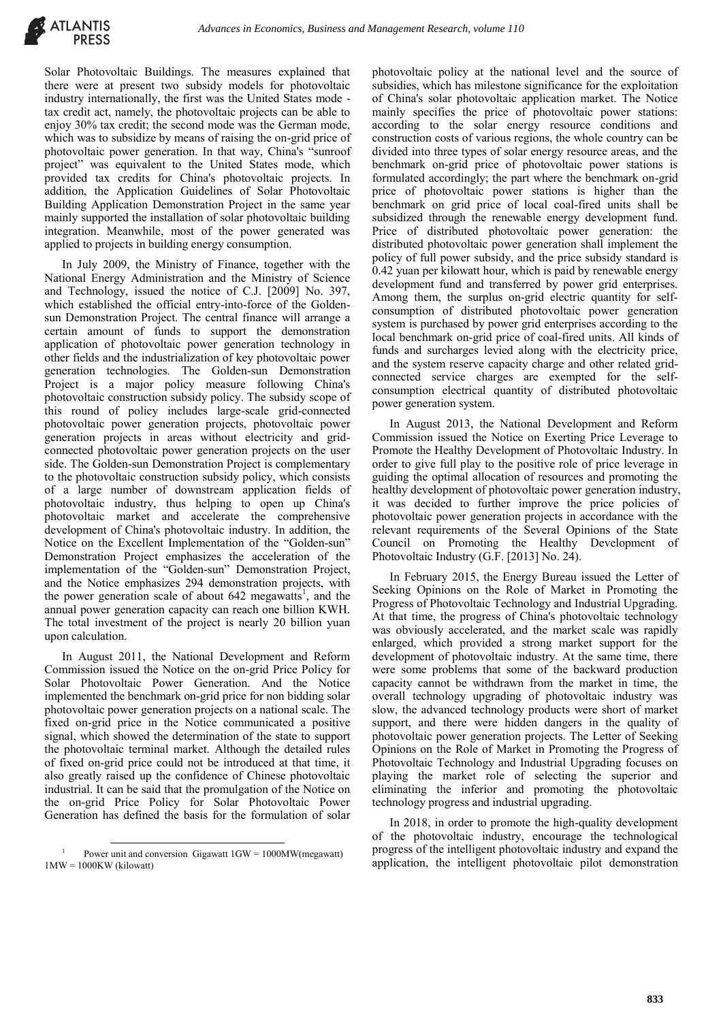

Solar Photovoltaic Buildings. The measures explained that there were at present two subsidy models for photovoltaic industry internationally, the first was the United States mode tax credit act, namely, the photovoltaic projects can be able to enjoy 30% tax credit; the second mode was the German mode, which was to subsidize by means of raising the on-grid price of photovoltaic power generation. In that way, China's "sunroof project" was equivalent to the United States mode, which provided tax credits for China's photovoltaic projects. In addition, the Application Guidelines of Solar Photovoltaic Building Application Demonstration Project in the same year mainly supported the installation of solar photovoltaic building integration. Meanwhile, most of the power generated was applied to projects in building energy consumption.

In July 2009, the Ministry of Finance, together with the National Energy Administration and the Ministry of Science and Technology, issued the notice of C.J. [2009] No. 397, which established the official entry-into-force of the Goldensun Demonstration Project. The central finance will arrange a certain amount of funds to support the demonstration application of photovoltaic power generation technology in other fields and the industrialization of key photovoltaic power generation technologies. The Golden-sun Demonstration Project is a major policy measure following China's photovoltaic construction subsidy policy. The subsidy scope of this round of policy includes large-scale grid-connected photovoltaic power generation projects, photovoltaic power generation projects in areas without electricity and gridconnected photovoltaic power generation projects on the user side. The Golden-sun Demonstration Project is complementary to the photovoltaic construction subsidy policy, which consists of a large number of downstream application fields of photovoltaic industry, thus helping to open up China's photovoltaic market and accelerate the comprehensive development of China's photovoltaic industry. In addition, the Notice on the Excellent Implementation of the "Golden-sun" Demonstration Project emphasizes the acceleration of the implementation of the "Golden-sun" Demonstration Project, and the Notice emphasizes 294 demonstration projects, with the power generation scale of about  $642$  megawatts<sup>1</sup>, and the annual power generation capacity can reach one billion KWH. The total investment of the project is nearly 20 billion yuan upon calculation.

In August 2011, the National Development and Reform Commission issued the Notice on the on-grid Price Policy for Solar Photovoltaic Power Generation. And the Notice implemented the benchmark on-grid price for non bidding solar photovoltaic power generation projects on a national scale. The fixed on-grid price in the Notice communicated a positive signal, which showed the determination of the state to support the photovoltaic terminal market. Although the detailed rules of fixed on-grid price could not be introduced at that time, it also greatly raised up the confidence of Chinese photovoltaic industrial. It can be said that the promulgation of the Notice on the on-grid Price Policy for Solar Photovoltaic Power Generation has defined the basis for the formulation of solar

photovoltaic policy at the national level and the source of subsidies, which has milestone significance for the exploitation of China's solar photovoltaic application market. The Notice mainly specifies the price of photovoltaic power stations: according to the solar energy resource conditions and construction costs of various regions, the whole country can be divided into three types of solar energy resource areas, and the benchmark on-grid price of photovoltaic power stations is formulated accordingly; the part where the benchmark on-grid price of photovoltaic power stations is higher than the benchmark on grid price of local coal-fired units shall be subsidized through the renewable energy development fund. Price of distributed photovoltaic power generation: the distributed photovoltaic power generation shall implement the policy of full power subsidy, and the price subsidy standard is 0.42 yuan per kilowatt hour, which is paid by renewable energy development fund and transferred by power grid enterprises. Among them, the surplus on-grid electric quantity for selfconsumption of distributed photovoltaic power generation system is purchased by power grid enterprises according to the local benchmark on-grid price of coal-fired units. All kinds of funds and surcharges levied along with the electricity price, and the system reserve capacity charge and other related gridconnected service charges are exempted for the selfconsumption electrical quantity of distributed photovoltaic power generation system.

In August 2013, the National Development and Reform Commission issued the Notice on Exerting Price Leverage to Promote the Healthy Development of Photovoltaic Industry. In order to give full play to the positive role of price leverage in guiding the optimal allocation of resources and promoting the healthy development of photovoltaic power generation industry, it was decided to further improve the price policies of photovoltaic power generation projects in accordance with the relevant requirements of the Several Opinions of the State Council on Promoting the Healthy Development of Photovoltaic Industry (G.F. [2013] No. 24).

In February 2015, the Energy Bureau issued the Letter of Seeking Opinions on the Role of Market in Promoting the Progress of Photovoltaic Technology and Industrial Upgrading. At that time, the progress of China's photovoltaic technology was obviously accelerated, and the market scale was rapidly enlarged, which provided a strong market support for the development of photovoltaic industry. At the same time, there were some problems that some of the backward production capacity cannot be withdrawn from the market in time, the overall technology upgrading of photovoltaic industry was slow, the advanced technology products were short of market support, and there were hidden dangers in the quality of photovoltaic power generation projects. The Letter of Seeking Opinions on the Role of Market in Promoting the Progress of Photovoltaic Technology and Industrial Upgrading focuses on playing the market role of selecting the superior and eliminating the inferior and promoting the photovoltaic technology progress and industrial upgrading.

In 2018, in order to promote the high-quality development of the photovoltaic industry, encourage the technological progress of the intelligent photovoltaic industry and expand the application, the intelligent photovoltaic pilot demonstration

<sup>-</sup><sup>1</sup> Power unit and conversion Gigawatt  $1$ GW = 1000MW(megawatt) 1MW = 1000KW (kilowatt)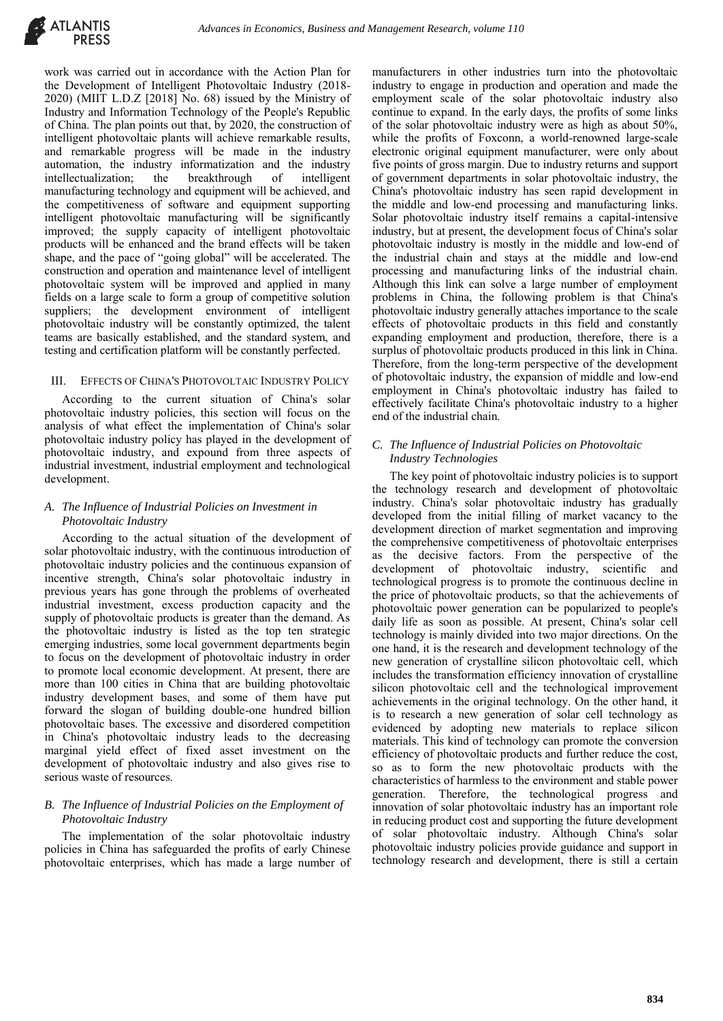

work was carried out in accordance with the Action Plan for the Development of Intelligent Photovoltaic Industry (2018- 2020) (MIIT L.D.Z [2018] No. 68) issued by the Ministry of Industry and Information Technology of the People's Republic of China. The plan points out that, by 2020, the construction of intelligent photovoltaic plants will achieve remarkable results, and remarkable progress will be made in the industry automation, the industry informatization and the industry<br>intellectualization; the breakthrough of intelligent intellectualization; the breakthrough of intelligent manufacturing technology and equipment will be achieved, and the competitiveness of software and equipment supporting intelligent photovoltaic manufacturing will be significantly improved; the supply capacity of intelligent photovoltaic products will be enhanced and the brand effects will be taken shape, and the pace of "going global" will be accelerated. The construction and operation and maintenance level of intelligent photovoltaic system will be improved and applied in many fields on a large scale to form a group of competitive solution suppliers; the development environment of intelligent photovoltaic industry will be constantly optimized, the talent teams are basically established, and the standard system, and testing and certification platform will be constantly perfected.

### III. EFFECTS OF CHINA'S PHOTOVOLTAIC INDUSTRY POLICY

According to the current situation of China's solar photovoltaic industry policies, this section will focus on the analysis of what effect the implementation of China's solar photovoltaic industry policy has played in the development of photovoltaic industry, and expound from three aspects of industrial investment, industrial employment and technological development.

# *A. The Influence of Industrial Policies on Investment in Photovoltaic Industry*

According to the actual situation of the development of solar photovoltaic industry, with the continuous introduction of photovoltaic industry policies and the continuous expansion of incentive strength, China's solar photovoltaic industry in previous years has gone through the problems of overheated industrial investment, excess production capacity and the supply of photovoltaic products is greater than the demand. As the photovoltaic industry is listed as the top ten strategic emerging industries, some local government departments begin to focus on the development of photovoltaic industry in order to promote local economic development. At present, there are more than 100 cities in China that are building photovoltaic industry development bases, and some of them have put forward the slogan of building double-one hundred billion photovoltaic bases. The excessive and disordered competition in China's photovoltaic industry leads to the decreasing marginal yield effect of fixed asset investment on the development of photovoltaic industry and also gives rise to serious waste of resources.

# *B. The Influence of Industrial Policies on the Employment of Photovoltaic Industry*

The implementation of the solar photovoltaic industry policies in China has safeguarded the profits of early Chinese photovoltaic enterprises, which has made a large number of

manufacturers in other industries turn into the photovoltaic industry to engage in production and operation and made the employment scale of the solar photovoltaic industry also continue to expand. In the early days, the profits of some links of the solar photovoltaic industry were as high as about 50%, while the profits of Foxconn, a world-renowned large-scale electronic original equipment manufacturer, were only about five points of gross margin. Due to industry returns and support of government departments in solar photovoltaic industry, the China's photovoltaic industry has seen rapid development in the middle and low-end processing and manufacturing links. Solar photovoltaic industry itself remains a capital-intensive industry, but at present, the development focus of China's solar photovoltaic industry is mostly in the middle and low-end of the industrial chain and stays at the middle and low-end processing and manufacturing links of the industrial chain. Although this link can solve a large number of employment problems in China, the following problem is that China's photovoltaic industry generally attaches importance to the scale effects of photovoltaic products in this field and constantly expanding employment and production, therefore, there is a surplus of photovoltaic products produced in this link in China. Therefore, from the long-term perspective of the development of photovoltaic industry, the expansion of middle and low-end employment in China's photovoltaic industry has failed to effectively facilitate China's photovoltaic industry to a higher end of the industrial chain.

# *C. The Influence of Industrial Policies on Photovoltaic Industry Technologies*

The key point of photovoltaic industry policies is to support the technology research and development of photovoltaic industry. China's solar photovoltaic industry has gradually developed from the initial filling of market vacancy to the development direction of market segmentation and improving the comprehensive competitiveness of photovoltaic enterprises as the decisive factors. From the perspective of the development of photovoltaic industry, scientific and technological progress is to promote the continuous decline in the price of photovoltaic products, so that the achievements of photovoltaic power generation can be popularized to people's daily life as soon as possible. At present, China's solar cell technology is mainly divided into two major directions. On the one hand, it is the research and development technology of the new generation of crystalline silicon photovoltaic cell, which includes the transformation efficiency innovation of crystalline silicon photovoltaic cell and the technological improvement achievements in the original technology. On the other hand, it is to research a new generation of solar cell technology as evidenced by adopting new materials to replace silicon materials. This kind of technology can promote the conversion efficiency of photovoltaic products and further reduce the cost, so as to form the new photovoltaic products with the characteristics of harmless to the environment and stable power generation. Therefore, the technological progress and innovation of solar photovoltaic industry has an important role in reducing product cost and supporting the future development of solar photovoltaic industry. Although China's solar photovoltaic industry policies provide guidance and support in technology research and development, there is still a certain